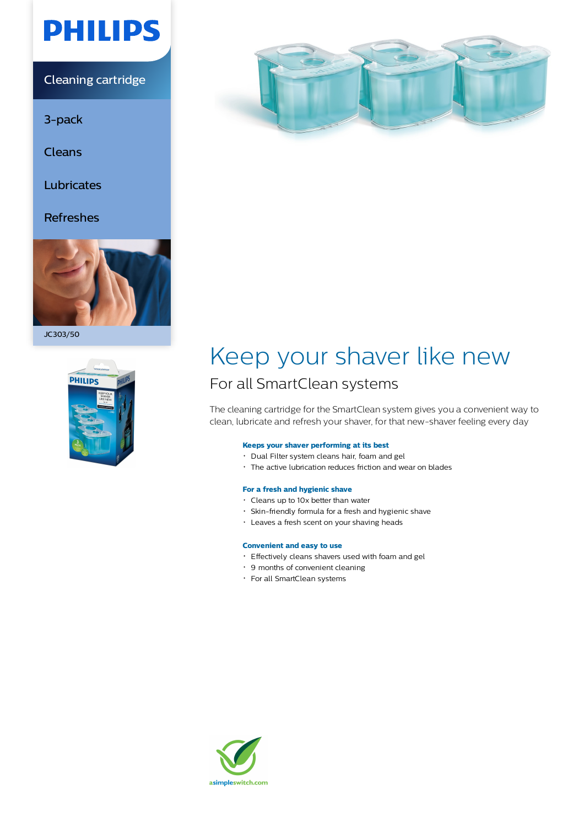# **PHILIPS**

Cleaning cartridge

3-pack

Cleans

Lubricates

### Refreshes



JC303/50





## Keep your shaver like new

### For all SmartClean systems

The cleaning cartridge for the SmartClean system gives you a convenient way to clean, lubricate and refresh your shaver, for that new-shaver feeling every day

#### **Keeps your shaver performing at its best**

- Dual Filter system cleans hair, foam and gel
- The active lubrication reduces friction and wear on blades

#### **For a fresh and hygienic shave**

- Cleans up to 10x better than water
- Skin-friendly formula for a fresh and hygienic shave
- Leaves a fresh scent on your shaving heads

#### **Convenient and easy to use**

- Effectively cleans shavers used with foam and gel
- 9 months of convenient cleaning
- For all SmartClean systems

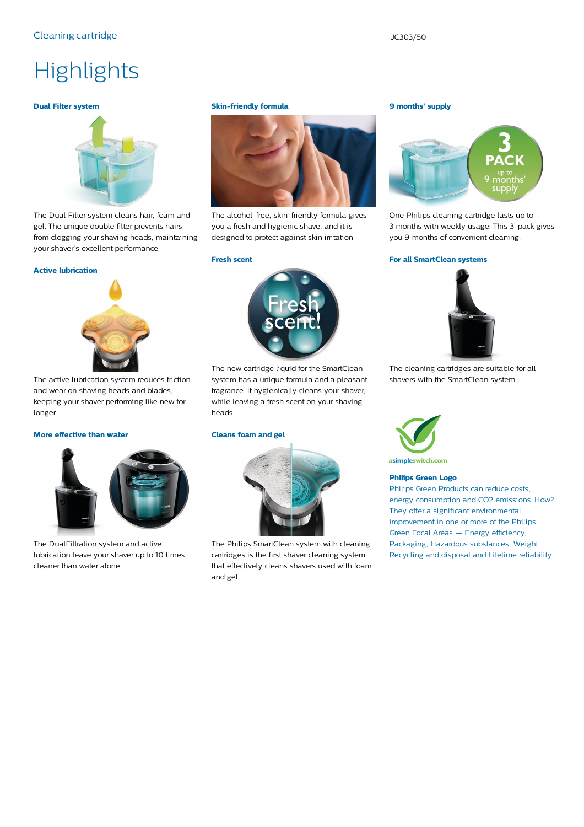#### Cleaning cartridge  $J$ Cartridge  $J$ Carterial and  $J$ Carterial and  $J$ Carterial and  $J$ Carterial and  $J$ Carterial and  $J$ Carterial and  $J$ Carterial and  $J$ Carterial and  $J$ Carterial and  $J$ Carterial and  $J$ Carterial and  $J$

### **Highlights**

#### **Dual Filter system**



The Dual Filter system cleans hair, foam and gel. The unique double filter prevents hairs from clogging your shaving heads, maintaining your shaver's excellent performance.

#### **Active lubrication**



The active lubrication system reduces friction and wear on shaving heads and blades, keeping your shaver performing like new for longer.

#### **More effective than water**



The DualFiltration system and active lubrication leave your shaver up to 10 times cleaner than water alone

#### **Skin-friendly formula**



The alcohol-free, skin-friendly formula gives you a fresh and hygienic shave, and it is designed to protect against skin irritation

#### **Fresh scent**



The new cartridge liquid for the SmartClean system has a unique formula and a pleasant fragrance. It hygienically cleans your shaver, while leaving a fresh scent on your shaving heads.

#### **Cleans foam and gel**



The Philips SmartClean system with cleaning cartridges is the first shaver cleaning system that effectively cleans shavers used with foam and gel.

#### **9 months' supply**



One Philips cleaning cartridge lasts up to 3 months with weekly usage. This 3-pack gives you 9 months of convenient cleaning.

#### **For all SmartClean systems**



The cleaning cartridges are suitable for all shavers with the SmartClean system.



asimpleswitch.com

#### **Philips Green Logo**

Philips Green Products can reduce costs, energy consumption and CO2 emissions. How? They offer a significant environmental improvement in one or more of the Philips Green Focal Areas — Energy efficiency, Packaging, Hazardous substances, Weight, Recycling and disposal and Lifetime reliability.